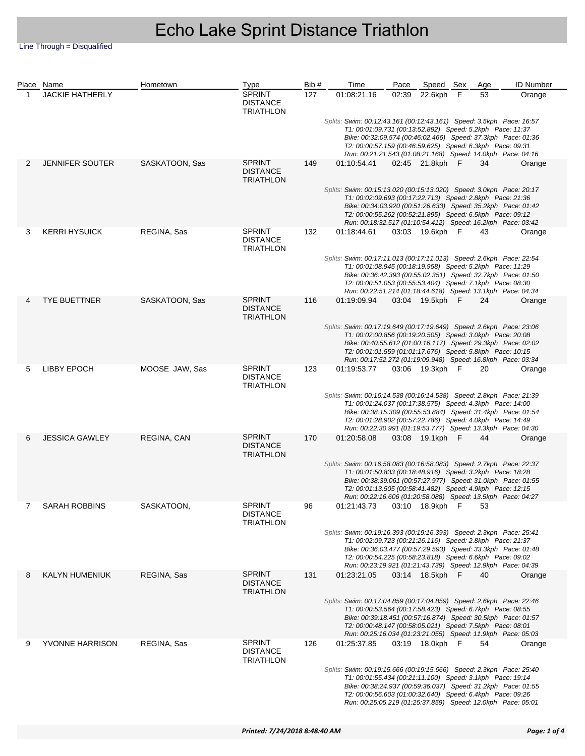Line Through = Disqualified

|   | Place Name             | Hometown       | <b>Type</b>                                          | Bib # | Time                                                                                                                                                                                                                                                                                                                            | Pace  | Speed Sex       |     | Age | <b>ID Number</b> |  |  |
|---|------------------------|----------------|------------------------------------------------------|-------|---------------------------------------------------------------------------------------------------------------------------------------------------------------------------------------------------------------------------------------------------------------------------------------------------------------------------------|-------|-----------------|-----|-----|------------------|--|--|
| 1 | <b>JACKIE HATHERLY</b> |                | <b>SPRINT</b><br><b>DISTANCE</b><br><b>TRIATHLON</b> | 127   | 01:08:21.16                                                                                                                                                                                                                                                                                                                     | 02:39 | 22.6kph         | - F | 53  | Orange           |  |  |
|   |                        |                |                                                      |       | Splits: Swim: 00:12:43.161 (00:12:43.161) Speed: 3.5kph Pace: 16:57<br>T1: 00:01:09.731 (00:13:52.892) Speed: 5.2kph Pace: 11:37<br>Bike: 00:32:09.574 (00:46:02.466) Speed: 37.3kph Pace: 01:36<br>T2: 00:00:57.159 (00:46:59.625) Speed: 6.3kph Pace: 09:31<br>Run: 00:21:21.543 (01:08:21.168) Speed: 14.0kph Pace: 04:16    |       |                 |     |     |                  |  |  |
| 2 | <b>JENNIFER SOUTER</b> | SASKATOON, Sas | <b>SPRINT</b><br><b>DISTANCE</b><br><b>TRIATHLON</b> | 149   | 01:10:54.41                                                                                                                                                                                                                                                                                                                     |       | 02:45 21.8kph F |     | 34  | Orange           |  |  |
|   |                        |                |                                                      |       | Splits: Swim: 00:15:13.020 (00:15:13.020) Speed: 3.0kph Pace: 20:17<br>T1: 00:02:09.693 (00:17:22.713) Speed: 2.8kph Pace: 21:36<br>Bike: 00:34:03.920 (00:51:26.633) Speed: 35.2kph Pace: 01:42<br>T2: 00:00:55.262 (00:52:21.895) Speed: 6.5kph Pace: 09:12<br>Run: 00:18:32.517 (01:10:54.412) Speed: 16.2kph Pace: 03:42    |       |                 |     |     |                  |  |  |
| 3 | <b>KERRI HYSUICK</b>   | REGINA, Sas    | <b>SPRINT</b><br><b>DISTANCE</b><br><b>TRIATHLON</b> | 132   | 01:18:44.61                                                                                                                                                                                                                                                                                                                     |       | 03:03 19.6kph F |     | 43  | Orange           |  |  |
|   |                        |                |                                                      |       | Splits: Swim: 00:17:11.013 (00:17:11.013) Speed: 2.6kph Pace: 22:54<br>T1: 00:01:08.945 (00:18:19.958) Speed: 5.2kph Pace: 11:29<br>Bike: 00:36:42.393 (00:55:02.351) Speed: 32.7kph Pace: 01:50<br>T2: 00:00:51.053 (00:55:53.404) Speed: 7.1kph Pace: 08:30<br>Run: 00:22:51.214 (01:18:44.618) Speed: 13.1kph Pace: 04:34    |       |                 |     |     |                  |  |  |
|   | <b>TYE BUETTNER</b>    | SASKATOON, Sas | <b>SPRINT</b><br><b>DISTANCE</b><br><b>TRIATHLON</b> | 116   | 01:19:09.94                                                                                                                                                                                                                                                                                                                     |       | 03:04 19.5kph F |     | 24  | Orange           |  |  |
|   |                        |                |                                                      |       | Splits: Swim: 00:17:19.649 (00:17:19.649) Speed: 2.6kph Pace: 23:06<br>T1: 00:02:00.856 (00:19:20.505) Speed: 3.0kph Pace: 20:08<br>Bike: 00:40:55.612 (01:00:16.117) Speed: 29.3kph Pace: 02:02<br>T2: 00:01:01.559 (01:01:17.676) Speed: 5.8kph Pace: 10:15<br>Run: 00:17:52.272 (01:19:09.948) Speed: 16.8kph Pace: 03:34    |       |                 |     |     |                  |  |  |
| 5 | LIBBY EPOCH            | MOOSE JAW, Sas | <b>SPRINT</b><br><b>DISTANCE</b><br><b>TRIATHLON</b> | 123   | 01:19:53.77                                                                                                                                                                                                                                                                                                                     |       | 03:06 19.3kph F |     | 20  | Orange           |  |  |
|   |                        |                |                                                      |       | Splits: Swim: 00:16:14.538 (00:16:14.538) Speed: 2.8kph Pace: 21:39<br>T1: 00:01:24.037 (00:17:38.575) Speed: 4.3kph Pace: 14:00<br>Bike: 00:38:15.309 (00:55:53.884) Speed: 31.4kph Pace: 01:54<br>T2: 00:01:28.902 (00:57:22.786) Speed: 4.0kph Pace: 14:49<br>Run: 00:22:30.991 (01:19:53.777) Speed: 13.3kph Pace: 04:30    |       |                 |     |     |                  |  |  |
| 6 | <b>JESSICA GAWLEY</b>  | REGINA, CAN    | <b>SPRINT</b><br><b>DISTANCE</b><br><b>TRIATHLON</b> | 170   | 01:20:58.08                                                                                                                                                                                                                                                                                                                     |       | 03:08 19.1kph F |     | 44  | Orange           |  |  |
|   |                        |                |                                                      |       | Splits: Swim: 00:16:58.083 (00:16:58.083) Speed: 2.7kph Pace: 22:37<br>T1: 00:01:50.833 (00:18:48.916) Speed: 3.2kph Pace: 18:28<br>Bike: 00:38:39.061 (00:57:27.977) Speed: 31.0kph Pace: 01:55<br>T2: 00:01:13.505 (00:58:41.482) Speed: 4.9kph Pace: 12:15<br>Run: 00:22:16.606 (01:20:58.088) Speed: 13.5kph Pace: 04:27    |       |                 |     |     |                  |  |  |
|   | SARAH ROBBINS          | SASKATOON,     | <b>SPRINT</b><br><b>DISTANCE</b><br><b>TRIATHLON</b> | 96    | 01:21:43.73  03:10  18.9kph  F  53                                                                                                                                                                                                                                                                                              |       |                 |     |     |                  |  |  |
|   |                        |                |                                                      |       | Splits: Swim: 00:19:16.393 (00:19:16.393) Speed: 2.3kph Pace: 25:41<br>T1: 00:02:09.723 (00:21:26.116) Speed: 2.8kph Pace: 21:37<br>Bike: 00:36:03.477 (00:57:29.593) Speed: 33.3kph Pace: 01:48<br>T2: 00:00:54.225 (00:58:23.818) Speed: 6.6kph Pace: 09:02<br>Run: 00:23:19.921 (01:21:43.739) Speed: 12.9kph Pace: 04:39    |       |                 |     |     |                  |  |  |
| 8 | <b>KALYN HUMENIUK</b>  | REGINA, Sas    | <b>SPRINT</b><br><b>DISTANCE</b><br><b>TRIATHLON</b> | 131   | 01:23:21.05                                                                                                                                                                                                                                                                                                                     |       | 03:14 18.5kph F |     | 40  | Orange           |  |  |
|   |                        |                |                                                      |       | Splits: Swim: 00:17:04.859 (00:17:04.859) Speed: 2.6kph Pace: 22:46<br>T1: 00:00:53.564 (00:17:58.423) Speed: 6.7kph Pace: 08:55<br>Bike: 00:39:18.451 (00:57:16.874) Speed: 30.5kph Pace: 01:57<br>T2: 00:00:48.147 (00:58:05.021) Speed: 7.5kph Pace: 08:01<br>Run: 00:25:16.034 (01:23:21.055) Speed: 11.9kph Pace: 05:03    |       |                 |     |     |                  |  |  |
| 9 | YVONNE HARRISON        | REGINA, Sas    | <b>SPRINT</b><br><b>DISTANCE</b><br><b>TRIATHLON</b> | 126   | 01:25:37.85                                                                                                                                                                                                                                                                                                                     |       | 03:19 18.0kph F |     | 54  | Orange           |  |  |
|   |                        |                |                                                      |       | Splits: Swim: 00:19:15.666 (00:19:15.666) Speed: 2.3kph    Pace: 25:40<br>T1: 00:01:55.434 (00:21:11.100) Speed: 3.1kph Pace: 19:14<br>Bike: 00:38:24.937 (00:59:36.037) Speed: 31.2kph Pace: 01:55<br>T2: 00:00:56.603 (01:00:32.640) Speed: 6.4kph Pace: 09:26<br>Run: 00:25:05.219 (01:25:37.859) Speed: 12.0kph Pace: 05:01 |       |                 |     |     |                  |  |  |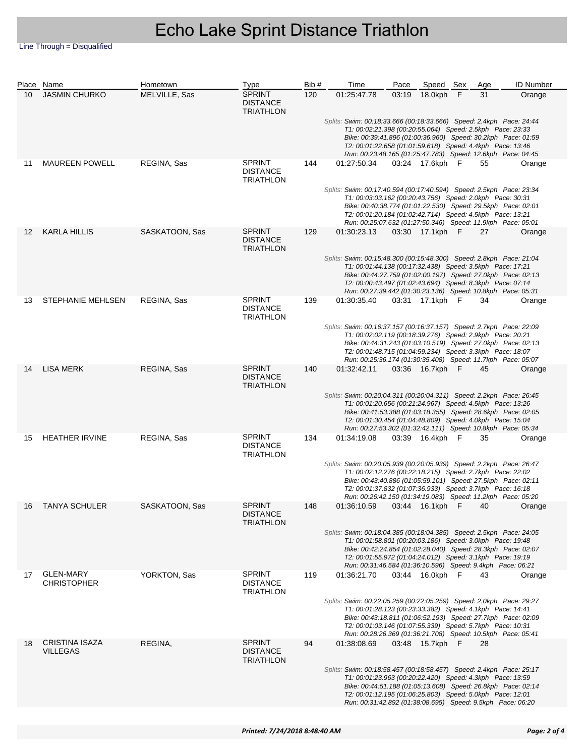Line Through = Disqualified

|    | Place Name                               | Hometown       | Type                                                 | Bib# | Time                                                                                                                                                                                                                                                                                                                            | Pace  | Speed Sex       |     | Age | <b>ID Number</b> |
|----|------------------------------------------|----------------|------------------------------------------------------|------|---------------------------------------------------------------------------------------------------------------------------------------------------------------------------------------------------------------------------------------------------------------------------------------------------------------------------------|-------|-----------------|-----|-----|------------------|
| 10 | <b>JASMIN CHURKO</b>                     | MELVILLE, Sas  | <b>SPRINT</b><br><b>DISTANCE</b><br><b>TRIATHLON</b> | 120  | 01:25:47.78                                                                                                                                                                                                                                                                                                                     | 03:19 | 18.0kph         | - F | 31  | Orange           |
|    |                                          |                |                                                      |      | Splits: Swim: 00:18:33.666 (00:18:33.666) Speed: 2.4kph    Pace: 24:44<br>T1: 00:02:21.398 (00:20:55.064) Speed: 2.5kph Pace: 23:33<br>Bike: 00:39:41.896 (01:00:36.960) Speed: 30.2kph Pace: 01:59<br>T2: 00:01:22.658 (01:01:59.618) Speed: 4.4kph Pace: 13:46<br>Run: 00:23:48.165 (01:25:47.783) Speed: 12.6kph Pace: 04:45 |       |                 |     |     |                  |
| 11 | <b>MAUREEN POWELL</b>                    | REGINA, Sas    | <b>SPRINT</b><br><b>DISTANCE</b><br><b>TRIATHLON</b> | 144  | 01:27:50.34                                                                                                                                                                                                                                                                                                                     |       | 03:24 17.6kph F |     | 55  | Orange           |
|    |                                          |                |                                                      |      | Splits: Swim: 00:17:40.594 (00:17:40.594) Speed: 2.5kph Pace: 23:34<br>T1: 00:03:03.162 (00:20:43.756) Speed: 2.0kph Pace: 30:31<br>Bike: 00:40:38.774 (01:01:22.530) Speed: 29.5kph Pace: 02:01<br>T2: 00:01:20.184 (01:02:42.714) Speed: 4.5kph Pace: 13:21<br>Run: 00:25:07.632 (01:27:50.346) Speed: 11.9kph Pace: 05:01    |       |                 |     |     |                  |
| 12 | KARLA HILLIS                             | SASKATOON, Sas | <b>SPRINT</b><br><b>DISTANCE</b><br><b>TRIATHLON</b> | 129  | 01:30:23.13                                                                                                                                                                                                                                                                                                                     |       | 03:30 17.1kph F |     | 27  | Orange           |
|    |                                          |                |                                                      |      | Splits: Swim: 00:15:48.300 (00:15:48.300) Speed: 2.8kph    Pace: 21:04<br>T1: 00:01:44.138 (00:17:32.438) Speed: 3.5kph Pace: 17:21<br>Bike: 00:44:27.759 (01:02:00.197) Speed: 27.0kph Pace: 02:13<br>T2: 00:00:43.497 (01:02:43.694) Speed: 8.3kph Pace: 07:14<br>Run: 00:27:39.442 (01:30:23.136) Speed: 10.8kph Pace: 05:31 |       |                 |     |     |                  |
| 13 | STEPHANIE MEHLSEN                        | REGINA, Sas    | <b>SPRINT</b><br><b>DISTANCE</b><br><b>TRIATHLON</b> | 139  | 01:30:35.40                                                                                                                                                                                                                                                                                                                     |       | 03:31 17.1kph F |     | 34  | Orange           |
|    |                                          |                |                                                      |      | Splits: Swim: 00:16:37.157 (00:16:37.157) Speed: 2.7kph Pace: 22:09<br>T1: 00:02:02.119 (00:18:39.276) Speed: 2.9kph Pace: 20:21<br>Bike: 00:44:31.243 (01:03:10.519) Speed: 27.0kph Pace: 02:13<br>T2: 00:01:48.715 (01:04:59.234) Speed: 3.3kph Pace: 18:07<br>Run: 00:25:36.174 (01:30:35.408) Speed: 11.7kph Pace: 05:07    |       |                 |     |     |                  |
| 14 | <b>LISA MERK</b>                         | REGINA, Sas    | <b>SPRINT</b><br><b>DISTANCE</b><br><b>TRIATHLON</b> | 140  | 01:32:42.11                                                                                                                                                                                                                                                                                                                     |       | 03:36 16.7kph F |     | 45  | Orange           |
|    |                                          |                |                                                      |      | Splits: Swim: 00:20:04.311 (00:20:04.311) Speed: 2.2kph    Pace: 26:45<br>T1: 00:01:20.656 (00:21:24.967) Speed: 4.5kph Pace: 13:26<br>Bike: 00:41:53.388 (01:03:18.355) Speed: 28.6kph Pace: 02:05<br>T2: 00:01:30.454 (01:04:48.809) Speed: 4.0kph Pace: 15:04<br>Run: 00:27:53.302 (01:32:42.111) Speed: 10.8kph Pace: 05:34 |       |                 |     |     |                  |
| 15 | <b>HEATHER IRVINE</b>                    | REGINA, Sas    | <b>SPRINT</b><br><b>DISTANCE</b><br>TRIATHLON        | 134  | 01:34:19.08                                                                                                                                                                                                                                                                                                                     |       | 03:39 16.4kph F |     | 35  | Orange           |
|    |                                          |                |                                                      |      | Splits: Swim: 00:20:05.939 (00:20:05.939) Speed: 2.2kph Pace: 26:47<br>T1: 00:02:12.276 (00:22:18.215) Speed: 2.7kph Pace: 22:02<br>Bike: 00:43:40.886 (01:05:59.101) Speed: 27.5kph Pace: 02:11<br>T2: 00:01:37.832 (01:07:36.933) Speed: 3.7kph Pace: 16:18<br>Run: 00:26:42.150 (01:34:19.083) Speed: 11.2kph Pace: 05:20    |       |                 |     |     |                  |
|    | <b>TANYA SCHULER</b>                     | SASKATOON, Sas | <b>SPRINT</b><br><b>DISTANCE</b><br><b>TRIATHLON</b> | 148  | 01:36:10.59  03:44  16.1kph  F  40  Orange                                                                                                                                                                                                                                                                                      |       |                 |     |     |                  |
|    |                                          |                |                                                      |      | Splits: Swim: 00:18:04.385 (00:18:04.385) Speed: 2.5kph Pace: 24:05<br>T1: 00:01:58.801 (00:20:03.186) Speed: 3.0kph Pace: 19:48<br>Bike: 00:42:24.854 (01:02:28.040) Speed: 28.3kph Pace: 02:07<br>T2: 00:01:55.972 (01:04:24.012) Speed: 3.1kph Pace: 19:19<br>Run: 00:31:46.584 (01:36:10.596) Speed: 9.4kph Pace: 06:21     |       |                 |     |     |                  |
| 17 | <b>GLEN-MARY</b><br><b>CHRISTOPHER</b>   | YORKTON, Sas   | <b>SPRINT</b><br><b>DISTANCE</b><br><b>TRIATHLON</b> | 119  | 01:36:21.70                                                                                                                                                                                                                                                                                                                     |       | 03:44 16.0kph F |     | 43  | Orange           |
|    |                                          |                |                                                      |      | Splits: Swim: 00:22:05.259 (00:22:05.259) Speed: 2.0kph Pace: 29:27<br>T1: 00:01:28.123 (00:23:33.382) Speed: 4.1kph Pace: 14:41<br>Bike: 00:43:18.811 (01:06:52.193) Speed: 27.7kph Pace: 02:09<br>T2: 00:01:03.146 (01:07:55.339) Speed: 5.7kph Pace: 10:31<br>Run: 00:28:26.369 (01:36:21.708) Speed: 10.5kph Pace: 05:41    |       |                 |     |     |                  |
| 18 | <b>CRISTINA ISAZA</b><br><b>VILLEGAS</b> | REGINA,        | <b>SPRINT</b><br><b>DISTANCE</b><br><b>TRIATHLON</b> | 94   | 01:38:08.69                                                                                                                                                                                                                                                                                                                     |       | 03:48 15.7kph F |     | 28  |                  |
|    |                                          |                |                                                      |      | Splits: Swim: 00:18:58.457 (00:18:58.457) Speed: 2.4kph Pace: 25:17<br>T1: 00:01:23.963 (00:20:22.420) Speed: 4.3kph Pace: 13:59<br>Bike: 00:44:51.188 (01:05:13.608) Speed: 26.8kph Pace: 02:14<br>T2: 00:01:12.195 (01:06:25.803) Speed: 5.0kph Pace: 12:01<br>Run: 00:31:42.892 (01:38:08.695) Speed: 9.5kph Pace: 06:20     |       |                 |     |     |                  |
|    |                                          |                |                                                      |      |                                                                                                                                                                                                                                                                                                                                 |       |                 |     |     |                  |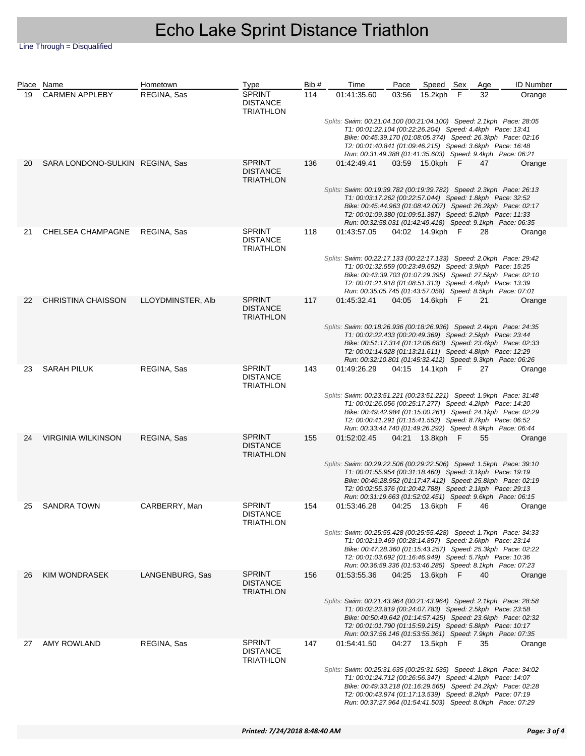Line Through = Disqualified

|    | Place Name                      | Hometown          | <b>Type</b>                                          | Bib# | Time                                                                                                                                                                                                                                                                                                                           | Pace  | Speed Sex       |     | Age                                                                                                                                                                                                                                                                                                                         | <b>ID Number</b> |  |  |
|----|---------------------------------|-------------------|------------------------------------------------------|------|--------------------------------------------------------------------------------------------------------------------------------------------------------------------------------------------------------------------------------------------------------------------------------------------------------------------------------|-------|-----------------|-----|-----------------------------------------------------------------------------------------------------------------------------------------------------------------------------------------------------------------------------------------------------------------------------------------------------------------------------|------------------|--|--|
| 19 | <b>CARMEN APPLEBY</b>           | REGINA, Sas       | <b>SPRINT</b><br><b>DISTANCE</b><br><b>TRIATHLON</b> | 114  | 01:41:35.60                                                                                                                                                                                                                                                                                                                    | 03:56 | 15.2kph         | - F | 32                                                                                                                                                                                                                                                                                                                          | Orange           |  |  |
|    |                                 |                   |                                                      |      | Splits: Swim: 00:21:04.100 (00:21:04.100) Speed: 2.1kph Pace: 28:05<br>T1: 00:01:22.104 (00:22:26.204) Speed: 4.4kph Pace: 13:41<br>Bike: 00:45:39.170 (01:08:05.374) Speed: 26.3kph Pace: 02:16<br>T2: 00:01:40.841 (01:09:46.215) Speed: 3.6kph Pace: 16:48<br>Run: 00:31:49.388 (01:41:35.603) Speed: 9.4kph Pace: 06:21    |       |                 |     |                                                                                                                                                                                                                                                                                                                             |                  |  |  |
| 20 | SARA LONDONO-SULKIN REGINA, Sas |                   | <b>SPRINT</b><br><b>DISTANCE</b><br><b>TRIATHLON</b> | 136  | 01:42:49.41                                                                                                                                                                                                                                                                                                                    |       | 03:59 15.0kph F |     | 47                                                                                                                                                                                                                                                                                                                          | Orange           |  |  |
|    |                                 |                   |                                                      |      | Splits: Swim: 00:19:39.782 (00:19:39.782) Speed: 2.3kph Pace: 26:13<br>T1: 00:03:17.262 (00:22:57.044) Speed: 1.8kph Pace: 32:52<br>Bike: 00:45:44.963 (01:08:42.007) Speed: 26.2kph Pace: 02:17<br>T2: 00:01:09.380 (01:09:51.387) Speed: 5.2kph Pace: 11:33<br>Run: 00:32:58.031 (01:42:49.418) Speed: 9.1kph Pace: 06:35    |       |                 |     |                                                                                                                                                                                                                                                                                                                             |                  |  |  |
| 21 | CHELSEA CHAMPAGNE               | REGINA, Sas       | <b>SPRINT</b><br><b>DISTANCE</b><br><b>TRIATHLON</b> | 118  | 01:43:57.05                                                                                                                                                                                                                                                                                                                    |       | 04:02 14.9kph F |     | 28                                                                                                                                                                                                                                                                                                                          | Orange           |  |  |
|    |                                 |                   |                                                      |      |                                                                                                                                                                                                                                                                                                                                |       |                 |     | Splits: Swim: 00:22:17.133 (00:22:17.133) Speed: 2.0kph Pace: 29:42<br>T1: 00:01:32.559 (00:23:49.692) Speed: 3.9kph Pace: 15:25<br>Bike: 00:43:39.703 (01:07:29.395) Speed: 27.5kph Pace: 02:10<br>T2: 00:01:21.918 (01:08:51.313) Speed: 4.4kph Pace: 13:39<br>Run: 00:35:05.745 (01:43:57.058) Speed: 8.5kph Pace: 07:01 |                  |  |  |
| 22 | <b>CHRISTINA CHAISSON</b>       | LLOYDMINSTER, Alb | <b>SPRINT</b><br><b>DISTANCE</b><br><b>TRIATHLON</b> | 117  | 01:45:32.41                                                                                                                                                                                                                                                                                                                    |       | 04:05 14.6kph F |     | 21                                                                                                                                                                                                                                                                                                                          | Orange           |  |  |
|    |                                 |                   |                                                      |      | Splits: Swim: 00:18:26.936 (00:18:26.936) Speed: 2.4kph Pace: 24:35<br>T1: 00:02:22.433 (00:20:49.369) Speed: 2.5kph Pace: 23:44<br>Bike: 00:51:17.314 (01:12:06.683) Speed: 23.4kph Pace: 02:33<br>T2: 00:01:14.928 (01:13:21.611) Speed: 4.8kph Pace: 12:29<br>Run: 00:32:10.801 (01:45:32.412) Speed: 9.3kph Pace: 06:26    |       |                 |     |                                                                                                                                                                                                                                                                                                                             |                  |  |  |
| 23 | <b>SARAH PILUK</b>              | REGINA, Sas       | <b>SPRINT</b><br><b>DISTANCE</b><br><b>TRIATHLON</b> | 143  | 01:49:26.29                                                                                                                                                                                                                                                                                                                    |       | 04:15 14.1kph F |     | 27                                                                                                                                                                                                                                                                                                                          | Orange           |  |  |
|    |                                 |                   |                                                      |      | Splits: Swim: 00:23:51.221 (00:23:51.221) Speed: 1.9kph Pace: 31:48<br>T1: 00:01:26.056 (00:25:17.277) Speed: 4.2kph Pace: 14:20<br>Bike: 00:49:42.984 (01:15:00.261) Speed: 24.1kph Pace: 02:29<br>T2: 00:00:41.291 (01:15:41.552) Speed: 8.7kph Pace: 06:52<br>Run: 00:33:44.740 (01:49:26.292) Speed: 8.9kph Pace: 06:44    |       |                 |     |                                                                                                                                                                                                                                                                                                                             |                  |  |  |
| 24 | <b>VIRGINIA WILKINSON</b>       | REGINA, Sas       | <b>SPRINT</b><br><b>DISTANCE</b><br><b>TRIATHLON</b> | 155  | 01:52:02.45                                                                                                                                                                                                                                                                                                                    |       | 04:21 13.8kph F |     | 55                                                                                                                                                                                                                                                                                                                          | Orange           |  |  |
|    |                                 |                   |                                                      |      | Splits: Swim: 00:29:22.506 (00:29:22.506) Speed: 1.5kph    Pace: 39:10<br>T1: 00:01:55.954 (00:31:18.460) Speed: 3.1kph Pace: 19:19<br>Bike: 00:46:28.952 (01:17:47.412) Speed: 25.8kph Pace: 02:19<br>T2: 00:02:55.376 (01:20:42.788) Speed: 2.1kph Pace: 29:13<br>Run: 00:31:19.663 (01:52:02.451) Speed: 9.6kph Pace: 06:15 |       |                 |     |                                                                                                                                                                                                                                                                                                                             |                  |  |  |
|    | <b>SANDRA TOWN</b>              | CARBERRY, Man     | <b>SPRINT</b><br><b>DISTANCE</b><br><b>TRIATHLON</b> | 154  | 01:53:46.28  04:25  13.6kph  F  46   Orange                                                                                                                                                                                                                                                                                    |       |                 |     |                                                                                                                                                                                                                                                                                                                             |                  |  |  |
|    |                                 |                   |                                                      |      | Splits: Swim: 00:25:55.428 (00:25:55.428) Speed: 1.7kph Pace: 34:33<br>T1: 00:02:19.469 (00:28:14.897) Speed: 2.6kph Pace: 23:14<br>Bike: 00:47:28.360 (01:15:43.257) Speed: 25.3kph Pace: 02:22<br>T2: 00:01:03.692 (01:16:46.949) Speed: 5.7kph Pace: 10:36<br>Run: 00:36:59.336 (01:53:46.285) Speed: 8.1kph Pace: 07:23    |       |                 |     |                                                                                                                                                                                                                                                                                                                             |                  |  |  |
| 26 | <b>KIM WONDRASEK</b>            | LANGENBURG, Sas   | <b>SPRINT</b><br><b>DISTANCE</b><br><b>TRIATHLON</b> | 156  | 01:53:55.36                                                                                                                                                                                                                                                                                                                    |       | 04:25 13.6kph F |     | 40                                                                                                                                                                                                                                                                                                                          | Orange           |  |  |
|    |                                 |                   |                                                      |      | Splits: Swim: 00:21:43.964 (00:21:43.964) Speed: 2.1kph Pace: 28:58<br>T1: 00:02:23.819 (00:24:07.783) Speed: 2.5kph Pace: 23:58<br>Bike: 00:50:49.642 (01:14:57.425) Speed: 23.6kph Pace: 02:32<br>T2: 00:01:01.790 (01:15:59.215) Speed: 5.8kph Pace: 10:17<br>Run: 00:37:56.146 (01:53:55.361) Speed: 7.9kph Pace: 07:35    |       |                 |     |                                                                                                                                                                                                                                                                                                                             |                  |  |  |
| 27 | AMY ROWLAND                     | REGINA, Sas       | <b>SPRINT</b><br><b>DISTANCE</b><br><b>TRIATHLON</b> | 147  | 01:54:41.50                                                                                                                                                                                                                                                                                                                    |       | 04:27 13.5kph F |     | 35                                                                                                                                                                                                                                                                                                                          | Orange           |  |  |
|    |                                 |                   |                                                      |      | Splits: Swim: 00:25:31.635 (00:25:31.635) Speed: 1.8kph Pace: 34:02<br>T1: 00:01:24.712 (00:26:56.347) Speed: 4.2kph Pace: 14:07<br>Bike: 00:49:33.218 (01:16:29.565) Speed: 24.2kph Pace: 02:28<br>T2: 00:00:43.974 (01:17:13.539) Speed: 8.2kph Pace: 07:19<br>Run: 00:37:27.964 (01:54:41.503) Speed: 8.0kph Pace: 07:29    |       |                 |     |                                                                                                                                                                                                                                                                                                                             |                  |  |  |